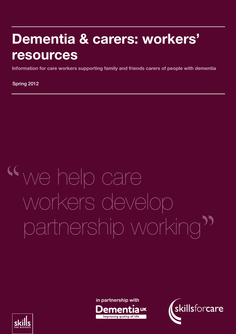## Dementia & carers: workers' resources

A case study-based manager's guide to good practice in learning and development for social Information for care workers supporting family and friends carers of people with dementia

Spring 2012 Spring 2012

# we help care workers develop partnership working

**in partnership withImproving quality of life** 



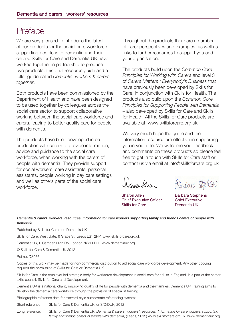## Preface

We are very pleased to introduce the latest of our products for the social care workforce supporting people with dementia and their carers. Skills for Care and Dementia UK have worked together in partnership to produce two products: this brief resource guide and a fuller guide called *Dementia: workers & carers together*.

Both products have been commissioned by the Department of Health and have been designed to be used together by colleagues across the social care sector to support collaborative working between the social care workforce and carers, leading to better quality care for people with dementia.

The products have been developed in coproduction with carers to provide information, advice and guidance to the social care workforce, when working with the carers of people with dementia. They provide support for social workers, care assistants, personal assistants, people working in day care settings and well as others parts of the social care workforce.

Throughout the products there are a number of carer perspectives and examples, as well as links to further resources to support you and your organisation.

The products build upon the *Common Core Principles for Working with Carers* and level 3 of *Carers Matters : Everybody's Business* that have previously been developed by Skills for Care, in conjunction with Skills for Health. The products also build upon the *Common Core Principles for Supporting People with Dementia* – also developed by Skills for Care and Skills for Health. All the Skills for Care products are available at www.skillsforcare.org.uk

We very much hope the guide and the information resource are effective in supporting you in your role. We welcome your feedback and comments on these products so please feel free to get in touch with Skills for Care staff or contact us via email at info@skillsforcare.org.uk

home Ales

Sharon Allen Chief Executive Officer Skills for Care

Butara Oglicar

Barbara Stephens Chief Executive Dementia UK

Dementia & carers: workers' resources. Information for care workers supporting family and friends carers of people with dementia

Published by Skills for Care and Dementia UK

Skills for Care, West Gate, 6 Grace St, Leeds LS1 2RP www.skillsforcare.org.uk

Dementia UK, 6 Camden High Ro, London NW1 0DH www.dementiauk.org

© Skills for Care & Dementia UK 2012

#### Ref no. DS036

Copies of this work may be made for non-commercial distribution to aid social care workforce development. Any other copying requires the permission of Skills for Care or Dementia UK.

Skills for Care is the employer-led strategic body for workforce development in social care for adults in England. It is part of the sector skills council, Skills for Care and Development.

Dementia UK is a national charity improving quality of life for people with dementia and their families. Dementia UK Training aims to develop the dementia care workforce through the provision of specialist training.

Bibliographic reference data for Harvard-style author/date referencing system:

Short reference: Skills for Care & Dementia UK [or SfC/DUK] 2012

Long reference: Skills for Care & Dementia UK, *Dementia & carers: workers' resources. Information for care workers supporting family and friends carers of people with dementia*, (Leeds, 2012) www.skillsforcare.org.uk www.dementiauk.org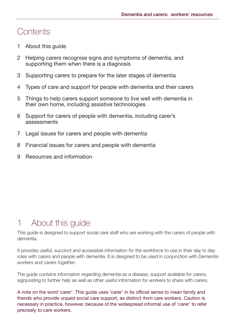### **Contents**

- 1 About this guide
- 2 Helping carers recognise signs and symptoms of dementia, and supporting them when there is a diagnosis
- 3 Supporting carers to prepare for the later stages of dementia
- 4 Types of care and support for people with dementia and their carers
- 5 Things to help carers support someone to live well with dementia in their own home, including assistive technologies
- 6 Support for carers of people with dementia, including carer's assessments
- 7 Legal issues for carers and people with dementia
- 8 Financial issues for carers and people with dementia
- 9 Resources and information

## 1 About this guide

This guide is designed to support social care staff who are working with the carers of people with dementia.

It provides useful, succinct and accessible information for the workforce to use in their day to day roles with carers and people with dementia. It is designed to be used in conjunction with *Dementia: workers and carers together*.

The guide contains information regarding dementia as a disease, support available for carers, signposting to further help as well as other useful information for workers to share with carers.

A note on the word 'carer'. This guide uses 'carer' in its official sense to mean family and friends who provide unpaid social care support, as distinct from care workers. Caution is necessary in practice, however, because of the widespread informal use of 'carer' to refer precisely to care workers.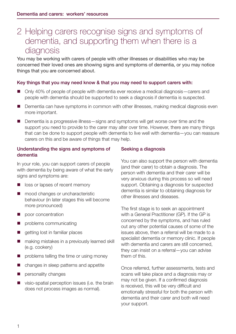## 2 Helping carers recognise signs and symptoms of dementia, and supporting them when there is a diagnosis

You may be working with carers of people with other illnesses or disabilities who may be concerned their loved ones are showing signs and symptoms of dementia, or you may notice things that you are concerned about.

#### Key things that you may need know & that you may need to support carers with:

- Only 40% of people of people with dementia ever receive a medical diagnosis—carers and people with dementia should be supported to seek a diagnosis if dementia is suspected.
- Dementia can have symptoms in common with other illnesses, making medical diagnosis even more important.
- Dementia is a progressive illness—signs and symptoms will get worse over time and the support you need to provide to the carer may alter over time. However, there are many things that can be done to support people with dementia to live well with dementia—you can reassure carers on this and be aware of things that may help.

#### Understanding the signs and symptoms of dementia

In your role, you can support carers of people with dementia by being aware of what the early signs and symptoms are:

- loss or lapses of recent memory
- mood changes or uncharacteristic behaviour (in later stages this will become more pronounced)
- poor concentration
- problems communicating
- getting lost in familiar places
- making mistakes in a previously learned skill (e.g. cookery)
- problems telling the time or using money
- changes in sleep patterns and appetite
- personality changes
- visio-spatial perception issues (i.e. the brain does not process images as normal).

#### Seeking a diagnosis

You can also support the person with dementia (and their carer) to obtain a diagnosis. The person with dementia and their carer will be very anxious during this process so will need support. Obtaining a diagnosis for suspected dementia is similar to obtaining diagnosis for other illnesses and diseases.

The first stage is to seek an appointment with a General Practitioner (GP). If the GP is concerned by the symptoms, and has ruled out any other potential causes of some of the issues above, then a referral will be made to a specialist dementia or memory clinic. If people with dementia and carers are still concerned, they can insist on a referral—you can advise them of this.

Once referred, further assessments, tests and scans will take place and a diagnosis may or may not be given. If a confirmed diagnosis is received, this will be very difficult and emotionally stressful for both the person with dementia and their carer and both will need your support.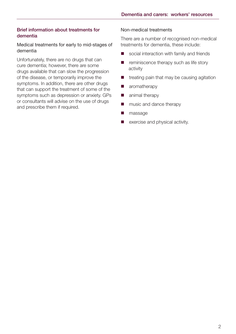#### Brief information about treatments for dementia

#### Medical treatments for early to mid-stages of dementia

Unfortunately, there are no drugs that can cure dementia; however, there are some drugs available that can slow the progression of the disease, or temporarily improve the symptoms. In addition, there are other drugs that can support the treatment of some of the symptoms such as depression or anxiety. GPs or consultants will advise on the use of drugs and prescribe them if required.

#### Non-medical treatments

There are a number of recognised non-medical treatments for dementia, these include:

- social interaction with family and friends
- $\blacksquare$  reminiscence therapy such as life story activity
- $\blacksquare$  treating pain that may be causing agitation
- **n** aromatherapy
- **n** animal therapy
- music and dance therapy
- massage
- exercise and physical activity.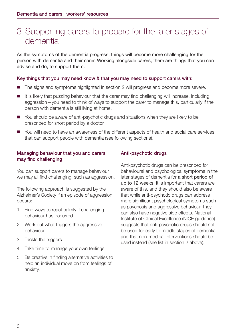## 3 Supporting carers to prepare for the later stages of dementia

As the symptoms of the dementia progress, things will become more challenging for the person with dementia and their carer. Working alongside carers, there are things that you can advise and do, to support them.

#### Key things that you may need know & that you may need to support carers with:

- The signs and symptoms highlighted in section 2 will progress and become more severe.
- $\blacksquare$  It is likely that puzzling behaviour that the carer may find challenging will increase, including aggression—you need to think of ways to support the carer to manage this, particularly if the person with dementia is still living at home.
- You should be aware of anti-psychotic drugs and situations when they are likely to be prescribed for short period by a doctor.
- You will need to have an awareness of the different aspects of health and social care services that can support people with dementia (see following sections).

#### Managing behaviour that you and carers may find challenging

You can support carers to manage behaviour we may all find challenging, such as aggression.

The following approach is suggested by the Alzheimer's Society if an episode of aggression occurs:

- 1 Find ways to react calmly if challenging behaviour has occurred
- 2 Work out what triggers the aggressive behaviour
- 3 Tackle the triggers
- 4 Take time to manage your own feelings
- 5 Be creative in finding alternative activities to help an individual move on from feelings of anxiety.

#### Anti-psychotic drugs

Anti-psychotic drugs can be prescribed for behavioural and psychological symptoms in the later stages of dementia for a short period of up to 12 weeks. It is important that carers are aware of this, and they should also be aware that while anti-psychotic drugs can address more significant psychological symptoms such as psychosis and aggressive behaviour, they can also have negative side effects. National Institute of Clinical Excellence (NICE guidance) suggests that anti-psychotic drugs should not be used for early to middle stages of dementia and that non-medical interventions should be used instead (see list in section 2 above).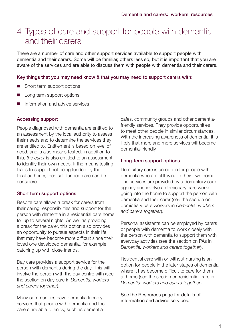## 4 Types of care and support for people with dementia and their carers

There are a number of care and other support services available to support people with dementia and their carers. Some will be familiar, others less so, but it is important that you are aware of the services and are able to discuss them with people with dementia and their carers.

#### Key things that you may need know & that you may need to support carers with:

- Short term support options
- Long term support options
- Information and advice services

#### Accessing support

People diagnosed with dementia are entitled to an assessment by the local authority to assess their needs and to determine the services they are entitled to. Entitlement is based on level of need, and is also means tested. In addition to this, *the carer* is also entitled to an assessment to identify their own needs. If the means testing leads to support not being funded by the local authority, then self-funded care can be considered.

#### Short term support options

Respite care allows a break for carers from their caring responsibilities and support for the person with dementia in a residential care home for up to several nights. As well as providing a break for the carer, this option also provides an opportunity to pursue aspects in their life that may have become more difficult since their loved one developed dementia, for example catching up with close friends.

Day care provides a support service for the person with dementia during the day. This will involve the person with the day centre with (see the section on day care in *Dementia: workers and carers together*).

Many communities have dementia friendly services that people with dementia and their carers are able to enjoy, such as dementia

cafes, community groups and other dementiafriendly services. They provide opportunities to meet other people in similar circumstances. With the increasing awareness of dementia, it is likely that more and more services will become dementia-friendly.

#### Long-term support options

Domiciliary care is an option for people with dementia who are still living in their own home. The services are provided by a domiciliary care agency and involve a domiciliary care worker going into the home to support the person with dementia and their carer (see the section on domiciliary care workers in *Dementia: workers and carers together*).

Personal assistants can be employed by carers or people with dementia to work closely with the person with dementia to support them with everyday activities (see the section on PAs in *Dementia: workers and carers together*).

Residential care with or without nursing is an option for people in the later stages of dementia where it has become difficult to care for them at home (see the section on residential care in *Dementia: workers and carers together*).

See the Resources page for details of information and advice services.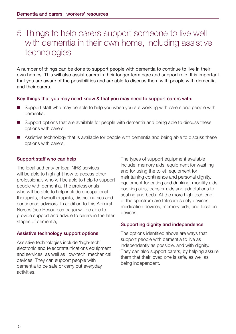## 5 Things to help carers support someone to live well with dementia in their own home, including assistive technologies

A number of things can be done to support people with dementia to continue to live in their own homes. This will also assist carers in their longer term care and support role. It is important that you are aware of the possibilities and are able to discuss them with people with dementia and their carers.

#### Key things that you may need know & that you may need to support carers with:

- Support staff who may be able to help you when you are working with carers and people with dementia.
- Support options that are available for people with dementia and being able to discuss these options with carers.
- Assistive technology that is available for people with dementia and being able to discuss these options with carers.

#### Support staff who can help

The local authority or local NHS services will be able to highlight how to access other professionals who will be able to help to support people with dementia. The professionals who will be able to help include occupational therapists, physiotherapists, district nurses and continence advisors. In addition to this Admiral Nurses (see Resources page) will be able to provide support and advice to carers in the later stages of dementia,

#### Assistive technology support options

Assistive technologies include 'high-tech' electronic and telecommunications equipment and services, as well as 'low-tech' mechanical devices. They can support people with dementia to be safe or carry out everyday activities.

The types of support equipment available include: memory aids, equipment for washing and for using the toilet, equipment for maintaining continence and personal dignity, equipment for eating and drinking, mobility aids, cooking aids, transfer aids and adaptations to seating and beds. At the more high-tech end of the spectrum are telecare safety devices, medication devices, memory aids, and location devices.

#### Supporting dignity and independence

The options identified above are ways that support people with dementia to live as independently as possible, and with dignity. They can also support carers, by helping assure them that their loved one is safe, as well as being independent.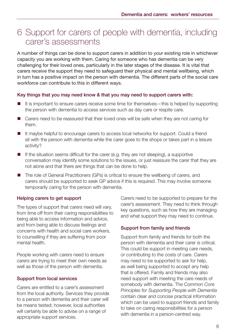## 6 Support for carers of people with dementia, including carer's assessments

A number of things can be done to support carers in addition to your existing role in whichever capacity you are working with them. Caring for someone who has dementia can be very challenging for their loved ones, particularly in the later stages of the disease. It is vital that carers receive the support they need to safeguard their physical and mental wellbeing, which in turn has a positive impact on the person with dementia. The different parts of the social care workforce can contribute to this in different ways.

#### Key things that you may need know & that you may need to support carers with:

- $\blacksquare$  It is important to ensure carers receive some time for themselves—this is helped by supporting the person with dementia to access services such as day care or respite care.
- Carers need to be reassured that their loved ones will be safe when they are not caring for them.
- It maybe helpful to encourage carers to access local networks for support. Could a friend sit with the person with dementia while the carer goes to the shops or takes part in a leisure activity?
- $\blacksquare$  If the situation seems difficult for the carer (e.g. they are not sleeping), a supportive conversation may identify some solutions to the issues, or just reassure the carer that they are not alone and that there are things that can be done to help.
- The role of General Practitioners (GPs) is critical to ensure the wellbeing of carers, and carers should be supported to seek GP advice if this is required. This may involve someone temporarily caring for the person with dementia.

#### Helping carers to get support

The types of support that carers need will vary, from time off from their caring responsibilities to being able to access information and advice, and from being able to discuss feelings and concerns with health and social care workers, to counselling if they are suffering from poor mental health.

People working with carers need to ensure carers are trying to meet their own needs as well as those of the person with dementia.

#### Support from local services

Carers are entitled to a carer's assessment from the local authority. Services they provide to a person with dementia and their carer will be means tested; however, local authorities will certainly be able to advise on a range of appropriate support services.

Carers need to be supported to prepare for the carer's assessment. They need to think through key questions, such as how they are managing and what support they may need to continue.

#### Support from family and friends

Support from family and friends for both the person with dementia and their carer is critical. This could be support in meeting care needs, or contributing to the costs of care. Carers may need to be supported to ask for help, as well being supported to accept any help that is offered. Family and friends may also need support with meeting the care needs of somebody with dementia. The *Common Core Principles for Supporting People with Dementia* contain clear and concise practical information which can be used to support friends and family to take on caring responsibilities for a person with dementia in a person-centred way.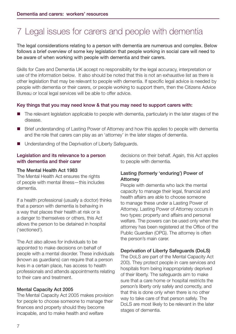## 7 Legal issues for carers and people with dementia

The legal considerations relating to a person with dementia are numerous and complex. Below follows a brief overview of some key legislation that people working in social care will need to be aware of when working with people with dementia and their carers.

Skills for Care and Dementia UK accept no responsibility for the legal accuracy, interpretation or use of the information below. It also should be noted that this is not an exhaustive list as there is other legislation that may be relevant to people with dementia. If specific legal advice is needed by people with dementia or their carers, or people working to support them, then the Citizens Advice Bureau or local legal services will be able to offer advice.

#### Key things that you may need know & that you may need to support carers with:

- The relevant legislation applicable to people with dementia, particularly in the later stages of the disease.
- **Brief understanding of Lasting Power of Attorney and how this applies to people with dementia** and the role that carers can play as an 'attorney' in the later stages of dementia.
- Understanding of the Deprivation of Liberty Safeguards.

#### Legislation and its relevance to a person with dementia and their carer

#### The Mental Health Act 1983

The Mental Health Act ensures the rights of people with mental illness—this includes dementia.

If a health professional (usually a doctor) thinks that a person with dementia is behaving in a way that places their health at risk or is a danger to themselves or others, this Act allows the person to be detained in hospital ('sectioned').

The Act also allows for individuals to be appointed to make decisions on behalf of people with a mental disorder. These individuals (known as guardians) can require that a person lives in a certain place, has access to health professionals and attends appointments relating to their care and treatment.

#### Mental Capacity Act 2005

The Mental Capacity Act 2005 makes provision for people to choose someone to manage their finances and property should they become incapable, and to make health and welfare

decisions on their behalf. Again, this Act applies to people with dementia.

#### Lasting (formerly 'enduring') Power of Attorney

People with dementia who lack the mental capacity to manage their legal, financial and health affairs are able to choose someone to manage these under a Lasting Power of Attorney. Lasting Power of Attorney occurs in two types: property and affairs and personal welfare. The powers can be used only when the attorney has been registered at the Office of the Public Guardian (OPG). The attorney is often the person's main carer.

#### Deprivation of Liberty Safeguards (DoLS)

The DoLS are part of the Mental Capacity Act 200). They protect people in care services and hospitals from being inappropriately deprived of their liberty. The safeguards aim to make sure that a care home or hospital restricts the person's liberty only safely and correctly, and that this is done only when there is no other way to take care of that person safely. The DoLS are most likely to be relevant in the later stages of dementia.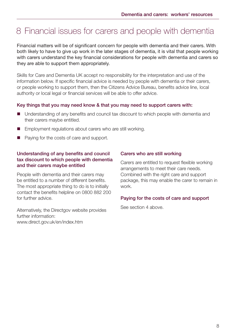## 8 Financial issues for carers and people with dementia

Financial matters will be of significant concern for people with dementia and their carers. With both likely to have to give up work in the later stages of dementia, it is vital that people working with carers understand the key financial considerations for people with dementia and carers so they are able to support them appropriately.

Skills for Care and Dementia UK accept no responsibility for the interpretation and use of the information below. If specific financial advice is needed by people with dementia or their carers, or people working to support them, then the Citizens Advice Bureau, benefits advice line, local authority or local legal or financial services will be able to offer advice.

#### Key things that you may need know & that you may need to support carers with:

- Understanding of any benefits and council tax discount to which people with dementia and their carers maybe entitled.
- Employment regulations about carers who are still working.
- Paying for the costs of care and support.

#### Understanding of any benefits and council tax discount to which people with dementia and their carers maybe entitled

People with dementia and their carers may be entitled to a number of different benefits. The most appropriate thing to do is to initially contact the benefits helpline on 0800 882 200 for further advice.

Alternatively, the Directgov website provides further information: www.direct.gov.uk/en/index.htm

#### Carers who are still working

Carers are entitled to request flexible working arrangements to meet their care needs. Combined with the right care and support package, this may enable the carer to remain in work.

#### Paying for the costs of care and support

See section 4 above.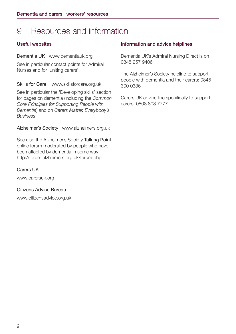## 9 Resources and information

#### Useful websites

#### Dementia UK www.dementiauk.org

See in particular contact points for Admiral Nurses and for 'uniting carers'.

Skills for Care www.skillsforcare.org.uk

See in particular the 'Developing skills' section for pages on dementia (including the *Common Core Principles for Supporting People with Dementia*) and on *Carers Matter, Everybody's Business*.

Alzheimer's Society www.alzheimers.org.uk

See also the Alzheimer's Society Talking Point online forum moderated by people who have been affected by dementia in some way: http://forum.alzheimers.org.uk/forum.php

#### Carers UK

www.carersuk.org

Citizens Advice Bureau

www.citizensadvice.org.uk

#### Information and advice helplines

Dementia UK's Admiral Nursing Direct is on 0845 257 9406

The Alzheimer's Society helpline to support people with dementia and their carers: 0845 300 0336

Carers UK advice line specifically to support carers: 0808 808 7777